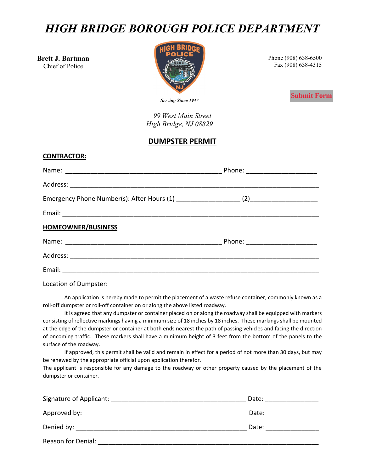# *HIGH BRIDGE BOROUGH POLICE DEPARTMENT*

**Brett J. Bartman** Chief of Police

**CONTRACTOR:**



Phone (908) 638-6500 Fax (908) 638-4315

**Submit Form**

*Serving Since 1947*

*99 West Main Street High Bridge, NJ 08829*

### **DUMPSTER PERMIT**

| <u>CUNINACIUN.</u> |  |
|--------------------|--|
|                    |  |
|                    |  |
|                    |  |
|                    |  |
| HOMEOWNER/BUSINESS |  |
|                    |  |
|                    |  |
|                    |  |
|                    |  |

An application is hereby made to permit the placement of a waste refuse container, commonly known as a roll-off dumpster or roll-off container on or along the above listed roadway.

It is agreed that any dumpster or container placed on or along the roadway shall be equipped with markers consisting of reflective markings having a minimum size of 18 inches by 18 inches. These markings shall be mounted at the edge of the dumpster or container at both ends nearest the path of passing vehicles and facing the direction of oncoming traffic. These markers shall have a minimum height of 3 feet from the bottom of the panels to the surface of the roadway.

If approved, this permit shall be valid and remain in effect for a period of not more than 30 days, but may be renewed by the appropriate official upon application therefor.

The applicant is responsible for any damage to the roadway or other property caused by the placement of the dumpster or container.

| Signature of Applicant: Signature of Applicant:                                                                                                                                                                                | Date: |
|--------------------------------------------------------------------------------------------------------------------------------------------------------------------------------------------------------------------------------|-------|
|                                                                                                                                                                                                                                | Date: |
| Denied by: the contract of the contract of the contract of the contract of the contract of the contract of the contract of the contract of the contract of the contract of the contract of the contract of the contract of the | Date: |
| Reason for Denial:                                                                                                                                                                                                             |       |